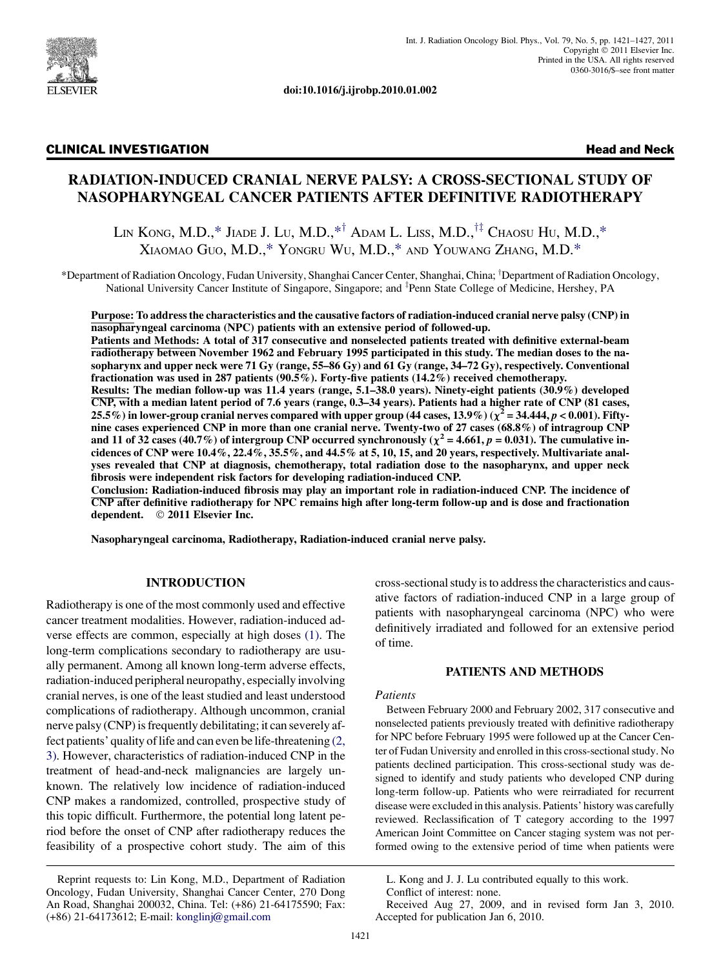

doi:10.1016/j.ijrobp.2010.01.002

## CLINICAL INVESTIGATION Head and Neck

# RADIATION-INDUCED CRANIAL NERVE PALSY: A CROSS-SECTIONAL STUDY OF NASOPHARYNGEAL CANCER PATIENTS AFTER DEFINITIVE RADIOTHERAPY

LIN KONG, M.D.,\* JIADE J. LU, M.D.,\*<sup>†</sup> ADAM L. LISS, M.D.,<sup>††</sup> CHAOSU HU, M.D.,\* XIAOMAO GUO, M.D.,\* YONGRU WU, M.D.,\* AND YOUWANG ZHANG, M.D.\*

\*Department of Radiation Oncology, Fudan University, Shanghai Cancer Center, Shanghai, China; <sup>†</sup>Department of Radiation Oncology, National University Cancer Institute of Singapore, Singapore; and <sup>‡</sup>Penn State College of Medicine, Hershey, PA

Purpose: To address the characteristics and the causative factors of radiation-induced cranial nerve palsy (CNP) in nasopharyngeal carcinoma (NPC) patients with an extensive period of followed-up.

Patients and Methods: A total of 317 consecutive and nonselected patients treated with definitive external-beam radiotherapy between November 1962 and February 1995 participated in this study. The median doses to the nasopharynx and upper neck were 71 Gy (range, 55–86 Gy) and 61 Gy (range, 34–72 Gy), respectively. Conventional fractionation was used in 287 patients (90.5%). Forty-five patients (14.2%) received chemotherapy. Results: The median follow-up was 11.4 years (range, 5.1–38.0 years). Ninety-eight patients (30.9%) developed CNP, with a median latent period of 7.6 years (range, 0.3–34 years). Patients had a higher rate of CNP (81 cases, 25.5%) in lower-group cranial nerves compared with upper group (44 cases, 13.9%) ( $\chi^2$  = 34.444, p < 0.001). Fiftynine cases experienced CNP in more than one cranial nerve. Twenty-two of 27 cases (68.8%) of intragroup CNP and 11 of 32 cases (40.7%) of intergroup CNP occurred synchronously ( $\chi^2$  = 4.661, p = 0.031). The cumulative incidences of CNP were 10.4%, 22.4%, 35.5%, and 44.5% at 5, 10, 15, and 20 years, respectively. Multivariate analyses revealed that CNP at diagnosis, chemotherapy, total radiation dose to the nasopharynx, and upper neck fibrosis were independent risk factors for developing radiation-induced CNP.

Conclusion: Radiation-induced fibrosis may play an important role in radiation-induced CNP. The incidence of CNP after definitive radiotherapy for NPC remains high after long-term follow-up and is dose and fractionation dependent. © 2011 Elsevier Inc.

Nasopharyngeal carcinoma, Radiotherapy, Radiation-induced cranial nerve palsy.

# INTRODUCTION

Radiotherapy is one of the most commonly used and effective cancer treatment modalities. However, radiation-induced adverse effects are common, especially at high doses [\(1\)](#page-5-0). The long-term complications secondary to radiotherapy are usually permanent. Among all known long-term adverse effects, radiation-induced peripheral neuropathy, especially involving cranial nerves, is one of the least studied and least understood complications of radiotherapy. Although uncommon, cranial nerve palsy (CNP) is frequently debilitating; it can severely affect patients' quality of life and can even be life-threatening [\(2,](#page-5-0) [3\)](#page-5-0). However, characteristics of radiation-induced CNP in the treatment of head-and-neck malignancies are largely unknown. The relatively low incidence of radiation-induced CNP makes a randomized, controlled, prospective study of this topic difficult. Furthermore, the potential long latent period before the onset of CNP after radiotherapy reduces the feasibility of a prospective cohort study. The aim of this

cross-sectional study is to address the characteristics and causative factors of radiation-induced CNP in a large group of patients with nasopharyngeal carcinoma (NPC) who were definitively irradiated and followed for an extensive period of time.

## PATIENTS AND METHODS

#### Patients

Between February 2000 and February 2002, 317 consecutive and nonselected patients previously treated with definitive radiotherapy for NPC before February 1995 were followed up at the Cancer Center of Fudan University and enrolled in this cross-sectional study. No patients declined participation. This cross-sectional study was designed to identify and study patients who developed CNP during long-term follow-up. Patients who were reirradiated for recurrent disease were excluded in this analysis. Patients' history was carefully reviewed. Reclassification of T category according to the 1997 American Joint Committee on Cancer staging system was not performed owing to the extensive period of time when patients were

Reprint requests to: Lin Kong, M.D., Department of Radiation Oncology, Fudan University, Shanghai Cancer Center, 270 Dong An Road, Shanghai 200032, China. Tel: (+86) 21-64175590; Fax: (+86) 21-64173612; E-mail: [konglinj@gmail.com](mailto:konglinj@gmail.com)

L. Kong and J. J. Lu contributed equally to this work. Conflict of interest: none.

Received Aug 27, 2009, and in revised form Jan 3, 2010. Accepted for publication Jan 6, 2010.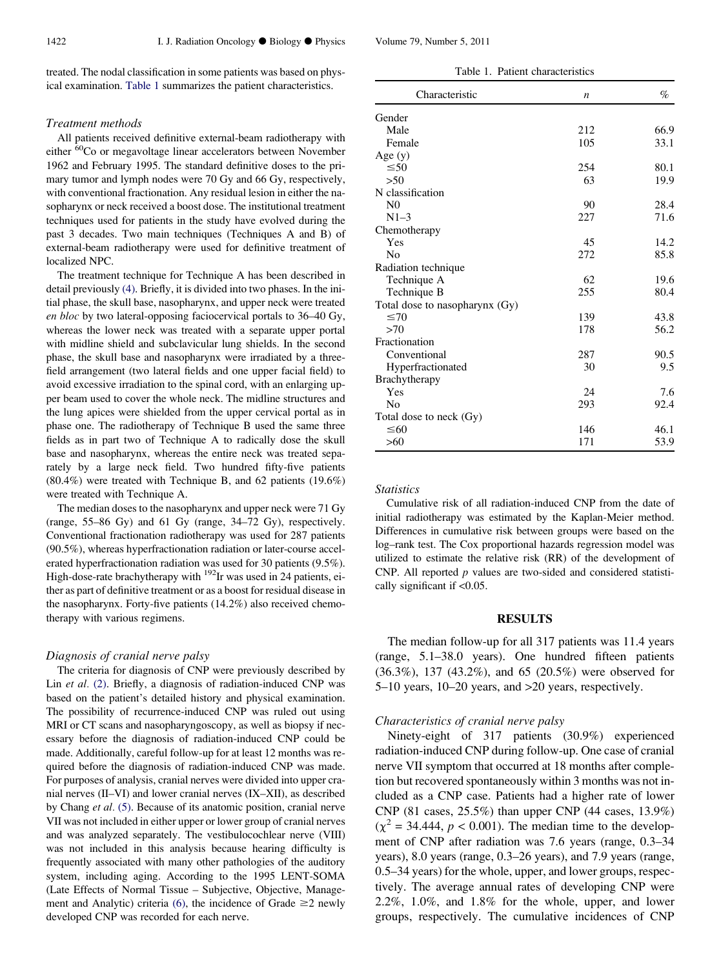treated. The nodal classification in some patients was based on physical examination. Table 1 summarizes the patient characteristics.

#### Treatment methods

All patients received definitive external-beam radiotherapy with either <sup>60</sup>Co or megavoltage linear accelerators between November 1962 and February 1995. The standard definitive doses to the primary tumor and lymph nodes were 70 Gy and 66 Gy, respectively, with conventional fractionation. Any residual lesion in either the nasopharynx or neck received a boost dose. The institutional treatment techniques used for patients in the study have evolved during the past 3 decades. Two main techniques (Techniques A and B) of external-beam radiotherapy were used for definitive treatment of localized NPC.

The treatment technique for Technique A has been described in detail previously [\(4\).](#page-5-0) Briefly, it is divided into two phases. In the initial phase, the skull base, nasopharynx, and upper neck were treated en bloc by two lateral-opposing faciocervical portals to 36–40 Gy, whereas the lower neck was treated with a separate upper portal with midline shield and subclavicular lung shields. In the second phase, the skull base and nasopharynx were irradiated by a threefield arrangement (two lateral fields and one upper facial field) to avoid excessive irradiation to the spinal cord, with an enlarging upper beam used to cover the whole neck. The midline structures and the lung apices were shielded from the upper cervical portal as in phase one. The radiotherapy of Technique B used the same three fields as in part two of Technique A to radically dose the skull base and nasopharynx, whereas the entire neck was treated separately by a large neck field. Two hundred fifty-five patients (80.4%) were treated with Technique B, and 62 patients (19.6%) were treated with Technique A.

The median doses to the nasopharynx and upper neck were 71 Gy (range, 55–86 Gy) and 61 Gy (range, 34–72 Gy), respectively. Conventional fractionation radiotherapy was used for 287 patients (90.5%), whereas hyperfractionation radiation or later-course accelerated hyperfractionation radiation was used for 30 patients (9.5%). High-dose-rate brachytherapy with  $^{192}$ Ir was used in 24 patients, either as part of definitive treatment or as a boost for residual disease in the nasopharynx. Forty-five patients (14.2%) also received chemotherapy with various regimens.

#### Diagnosis of cranial nerve palsy

The criteria for diagnosis of CNP were previously described by Lin et al. [\(2\)](#page-5-0). Briefly, a diagnosis of radiation-induced CNP was based on the patient's detailed history and physical examination. The possibility of recurrence-induced CNP was ruled out using MRI or CT scans and nasopharyngoscopy, as well as biopsy if necessary before the diagnosis of radiation-induced CNP could be made. Additionally, careful follow-up for at least 12 months was required before the diagnosis of radiation-induced CNP was made. For purposes of analysis, cranial nerves were divided into upper cranial nerves (II–VI) and lower cranial nerves (IX–XII), as described by Chang et al. [\(5\).](#page-5-0) Because of its anatomic position, cranial nerve VII was not included in either upper or lower group of cranial nerves and was analyzed separately. The vestibulocochlear nerve (VIII) was not included in this analysis because hearing difficulty is frequently associated with many other pathologies of the auditory system, including aging. According to the 1995 LENT-SOMA (Late Effects of Normal Tissue – Subjective, Objective, Manage-ment and Analytic) criteria [\(6\)](#page-5-0), the incidence of Grade  $\geq$  2 newly developed CNP was recorded for each nerve.

| Table 1. I allent characteristics |                  |      |  |  |
|-----------------------------------|------------------|------|--|--|
| Characteristic                    | $\boldsymbol{n}$ | %    |  |  |
| Gender                            |                  |      |  |  |
| Male                              | 212              | 66.9 |  |  |
| Female                            | 105              | 33.1 |  |  |
| Age $(y)$                         |                  |      |  |  |
| $\leq 50$                         | 254              | 80.1 |  |  |
| >50                               | 63               | 19.9 |  |  |
| N classification                  |                  |      |  |  |
| N <sub>0</sub>                    | 90               | 28.4 |  |  |
| $N1-3$                            | 227              | 71.6 |  |  |
| Chemotherapy                      |                  |      |  |  |
| Yes                               | 45               | 14.2 |  |  |
| No                                | 272              | 85.8 |  |  |
| Radiation technique               |                  |      |  |  |
| Technique A                       | 62               | 19.6 |  |  |
| Technique B                       | 255              | 80.4 |  |  |
| Total dose to nasopharynx (Gy)    |                  |      |  |  |
| $\leq 70$                         | 139              | 43.8 |  |  |
| >70                               | 178              | 56.2 |  |  |
| Fractionation                     |                  |      |  |  |
| Conventional                      | 287              | 90.5 |  |  |
| Hyperfractionated                 | 30               | 9.5  |  |  |
| Brachytherapy                     |                  |      |  |  |
| Yes                               | 24               | 7.6  |  |  |
| No                                | 293              | 92.4 |  |  |
| Total dose to neck (Gy)           |                  |      |  |  |
| $\leq 60$                         | 146              | 46.1 |  |  |
| >60                               | 171              | 53.9 |  |  |

Table 1. Patient characteristics

#### **Statistics**

Cumulative risk of all radiation-induced CNP from the date of initial radiotherapy was estimated by the Kaplan-Meier method. Differences in cumulative risk between groups were based on the log–rank test. The Cox proportional hazards regression model was utilized to estimate the relative risk (RR) of the development of CNP. All reported  $p$  values are two-sided and considered statistically significant if <0.05.

#### RESULTS

The median follow-up for all 317 patients was 11.4 years (range, 5.1–38.0 years). One hundred fifteen patients (36.3%), 137 (43.2%), and 65 (20.5%) were observed for 5–10 years, 10–20 years, and >20 years, respectively.

## Characteristics of cranial nerve palsy

Ninety-eight of 317 patients (30.9%) experienced radiation-induced CNP during follow-up. One case of cranial nerve VII symptom that occurred at 18 months after completion but recovered spontaneously within 3 months was not included as a CNP case. Patients had a higher rate of lower CNP (81 cases, 25.5%) than upper CNP (44 cases, 13.9%)  $(\chi^2 = 34.444, p < 0.001)$ . The median time to the development of CNP after radiation was 7.6 years (range, 0.3–34 years), 8.0 years (range, 0.3–26 years), and 7.9 years (range, 0.5–34 years) for the whole, upper, and lower groups, respectively. The average annual rates of developing CNP were 2.2%, 1.0%, and 1.8% for the whole, upper, and lower groups, respectively. The cumulative incidences of CNP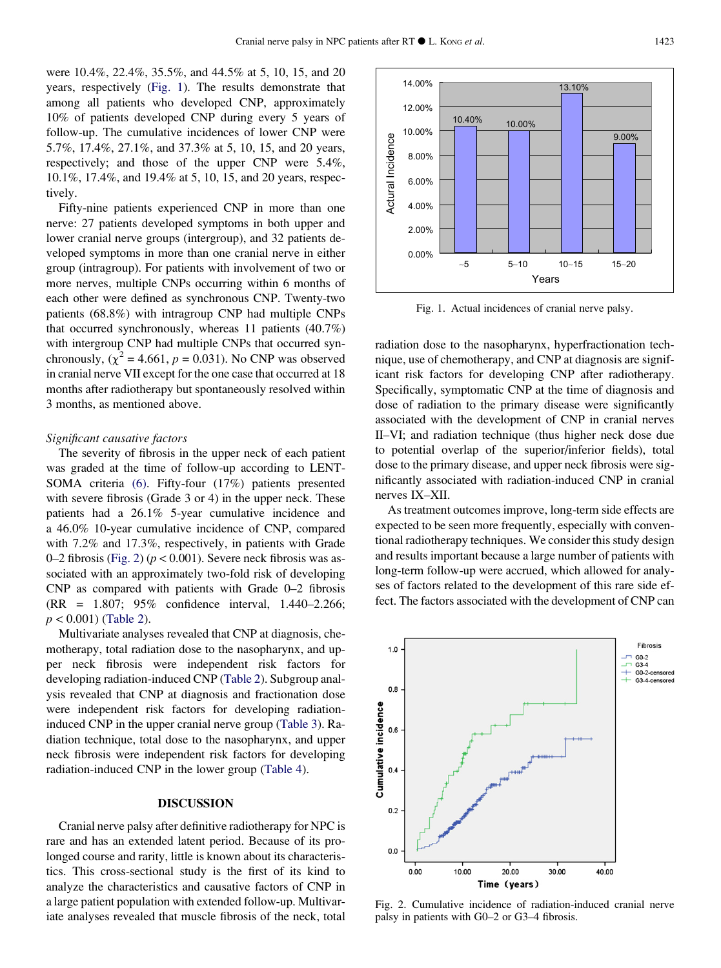were 10.4%, 22.4%, 35.5%, and 44.5% at 5, 10, 15, and 20 years, respectively (Fig. 1). The results demonstrate that among all patients who developed CNP, approximately 10% of patients developed CNP during every 5 years of follow-up. The cumulative incidences of lower CNP were 5.7%, 17.4%, 27.1%, and 37.3% at 5, 10, 15, and 20 years, respectively; and those of the upper CNP were 5.4%, 10.1%, 17.4%, and 19.4% at 5, 10, 15, and 20 years, respectively.

Fifty-nine patients experienced CNP in more than one nerve: 27 patients developed symptoms in both upper and lower cranial nerve groups (intergroup), and 32 patients developed symptoms in more than one cranial nerve in either group (intragroup). For patients with involvement of two or more nerves, multiple CNPs occurring within 6 months of each other were defined as synchronous CNP. Twenty-two patients (68.8%) with intragroup CNP had multiple CNPs that occurred synchronously, whereas 11 patients (40.7%) with intergroup CNP had multiple CNPs that occurred synchronously,  $(\chi^2 = 4.661, p = 0.031)$ . No CNP was observed in cranial nerve VII except for the one case that occurred at 18 months after radiotherapy but spontaneously resolved within 3 months, as mentioned above.

#### Significant causative factors

The severity of fibrosis in the upper neck of each patient was graded at the time of follow-up according to LENT-SOMA criteria [\(6\)](#page-5-0). Fifty-four (17%) patients presented with severe fibrosis (Grade 3 or 4) in the upper neck. These patients had a 26.1% 5-year cumulative incidence and a 46.0% 10-year cumulative incidence of CNP, compared with 7.2% and 17.3%, respectively, in patients with Grade 0–2 fibrosis (Fig. 2) ( $p < 0.001$ ). Severe neck fibrosis was associated with an approximately two-fold risk of developing CNP as compared with patients with Grade 0–2 fibrosis (RR = 1.807; 95% confidence interval, 1.440–2.266;  $p < 0.001$ ) ([Table 2](#page-3-0)).

Multivariate analyses revealed that CNP at diagnosis, chemotherapy, total radiation dose to the nasopharynx, and upper neck fibrosis were independent risk factors for developing radiation-induced CNP ([Table 2](#page-3-0)). Subgroup analysis revealed that CNP at diagnosis and fractionation dose were independent risk factors for developing radiationinduced CNP in the upper cranial nerve group ([Table 3\)](#page-3-0). Radiation technique, total dose to the nasopharynx, and upper neck fibrosis were independent risk factors for developing radiation-induced CNP in the lower group [\(Table 4\)](#page-3-0).

### DISCUSSION

Cranial nerve palsy after definitive radiotherapy for NPC is rare and has an extended latent period. Because of its prolonged course and rarity, little is known about its characteristics. This cross-sectional study is the first of its kind to analyze the characteristics and causative factors of CNP in a large patient population with extended follow-up. Multivariate analyses revealed that muscle fibrosis of the neck, total



Fig. 1. Actual incidences of cranial nerve palsy.

radiation dose to the nasopharynx, hyperfractionation technique, use of chemotherapy, and CNP at diagnosis are significant risk factors for developing CNP after radiotherapy. Specifically, symptomatic CNP at the time of diagnosis and dose of radiation to the primary disease were significantly associated with the development of CNP in cranial nerves II–VI; and radiation technique (thus higher neck dose due to potential overlap of the superior/inferior fields), total dose to the primary disease, and upper neck fibrosis were significantly associated with radiation-induced CNP in cranial nerves IX–XII.

As treatment outcomes improve, long-term side effects are expected to be seen more frequently, especially with conventional radiotherapy techniques. We consider this study design and results important because a large number of patients with long-term follow-up were accrued, which allowed for analyses of factors related to the development of this rare side effect. The factors associated with the development of CNP can



Fig. 2. Cumulative incidence of radiation-induced cranial nerve palsy in patients with G0–2 or G3–4 fibrosis.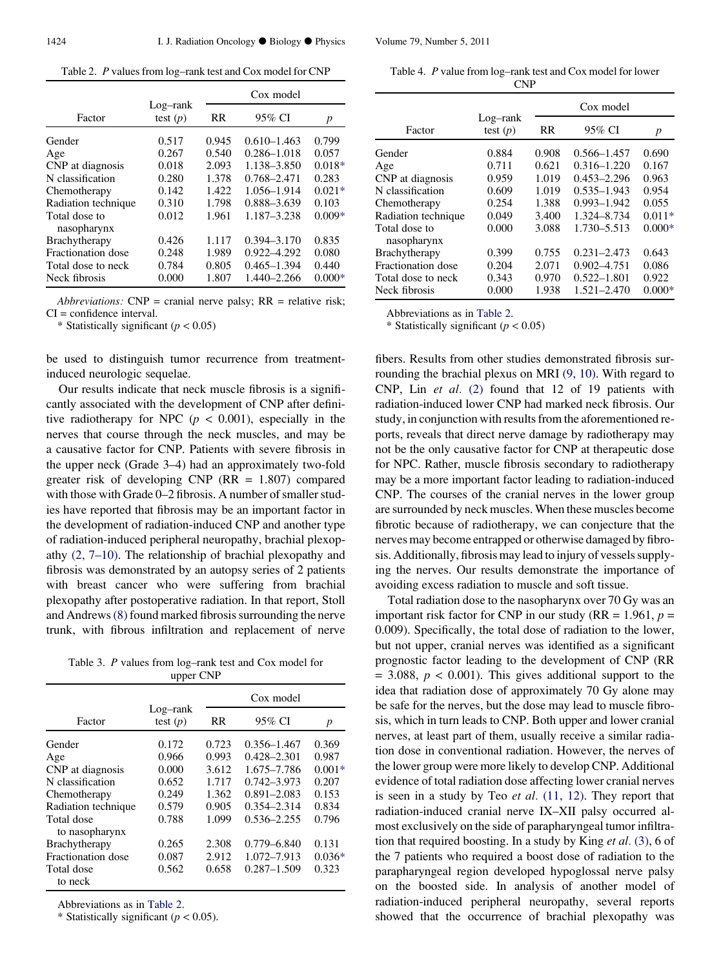<span id="page-3-0"></span>Table 2. P values from log–rank test and Cox model for CNP

|                              |                        | Cox model |                 |          |
|------------------------------|------------------------|-----------|-----------------|----------|
| Factor                       | Log-rank<br>test $(p)$ | RR        | 95% CI          | p        |
| Gender                       | 0.517                  | 0.945     | $0.610 - 1.463$ | 0.799    |
| Age                          | 0.267                  | 0.540     | 0.286-1.018     | 0.057    |
| CNP at diagnosis             | 0.018                  | 2.093     | 1.138-3.850     | $0.018*$ |
| N classification             | 0.280                  | 1.378     | 0.768-2.471     | 0.283    |
| Chemotherapy                 | 0.142                  | 1.422     | 1.056-1.914     | $0.021*$ |
| Radiation technique          | 0.310                  | 1.798     | 0.888-3.639     | 0.103    |
| Total dose to<br>nasopharynx | 0.012                  | 1.961     | 1.187-3.238     | $0.009*$ |
| Brachytherapy                | 0.426                  | 1.117     | $0.394 - 3.170$ | 0.835    |
| Fractionation dose           | 0.248                  | 1.989     | 0.922-4.292     | 0.080    |
| Total dose to neck           | 0.784                  | 0.805     | $0.465 - 1.394$ | 0.440    |
| Neck fibrosis                | 0.000                  | 1.807     | 1.440-2.266     | $0.000*$ |

Abbreviations:  $CNP = \text{cranial nerve plays; RR} = \text{relative risk};$ CI = confidence interval.

\* Statistically significant  $(p < 0.05)$ 

be used to distinguish tumor recurrence from treatmentinduced neurologic sequelae.

Our results indicate that neck muscle fibrosis is a significantly associated with the development of CNP after definitive radiotherapy for NPC ( $p < 0.001$ ), especially in the nerves that course through the neck muscles, and may be a causative factor for CNP. Patients with severe fibrosis in the upper neck (Grade 3–4) had an approximately two-fold greater risk of developing CNP ( $RR = 1.807$ ) compared with those with Grade 0–2 fibrosis. A number of smaller studies have reported that fibrosis may be an important factor in the development of radiation-induced CNP and another type of radiation-induced peripheral neuropathy, brachial plexopathy [\(2, 7–10\)](#page-5-0). The relationship of brachial plexopathy and fibrosis was demonstrated by an autopsy series of 2 patients with breast cancer who were suffering from brachial plexopathy after postoperative radiation. In that report, Stoll and Andrews[\(8\)](#page-5-0) found marked fibrosis surrounding the nerve trunk, with fibrous infiltration and replacement of nerve

Table 3. P values from log–rank test and Cox model for upper CNP

|                              | Log-rank<br>test $(p)$ | Cox model |                 |          |
|------------------------------|------------------------|-----------|-----------------|----------|
| Factor                       |                        | <b>RR</b> | 95% CI          | p        |
| Gender                       | 0.172                  | 0.723     | $0.356 - 1.467$ | 0.369    |
| Age                          | 0.966                  | 0.993     | $0.428 - 2.301$ | 0.987    |
| CNP at diagnosis             | 0.000                  | 3.612     | 1.675-7.786     | $0.001*$ |
| N classification             | 0.652                  | 1.717     | $0.742 - 3.973$ | 0.207    |
| Chemotherapy                 | 0.249                  | 1.362     | $0.891 - 2.083$ | 0.153    |
| Radiation technique          | 0.579                  | 0.905     | $0.354 - 2.314$ | 0.834    |
| Total dose<br>to nasopharynx | 0.788                  | 1.099     | $0.536 - 2.255$ | 0.796    |
| <b>Brachytherapy</b>         | 0.265                  | 2.308     | 0.779-6.840     | 0.131    |
| Fractionation dose           | 0.087                  | 2.912     | 1.072-7.913     | $0.036*$ |
| Total dose<br>to neck        | 0.562                  | 0.658     | $0.287 - 1.509$ | 0.323    |

Abbreviations as in Table 2.

\* Statistically significant ( $p < 0.05$ ).

Table 4. P value from log–rank test and Cox model for lower CNP

|                              | Log-rank<br>test $(p)$ | Cox model |                 |          |
|------------------------------|------------------------|-----------|-----------------|----------|
| Factor                       |                        | <b>RR</b> | 95% CI          | p        |
| Gender                       | 0.884                  | 0.908     | $0.566 - 1.457$ | 0.690    |
| Age                          | 0.711                  | 0.621     | $0.316 - 1.220$ | 0.167    |
| CNP at diagnosis             | 0.959                  | 1.019     | $0.453 - 2.296$ | 0.963    |
| N classification             | 0.609                  | 1.019     | $0.535 - 1.943$ | 0.954    |
| Chemotherapy                 | 0.254                  | 1.388     | $0.993 - 1.942$ | 0.055    |
| Radiation technique          | 0.049                  | 3.400     | 1.324-8.734     | $0.011*$ |
| Total dose to<br>nasopharynx | 0.000                  | 3.088     | 1.730-5.513     | $0.000*$ |
| Brachytherapy                | 0.399                  | 0.755     | $0.231 - 2.473$ | 0.643    |
| <b>Fractionation dose</b>    | 0.204                  | 2.071     | $0.902 - 4.751$ | 0.086    |
| Total dose to neck           | 0.343                  | 0.970     | $0.522 - 1.801$ | 0.922    |
| Neck fibrosis                | 0.000                  | 1.938     | 1.521-2.470     | $0.000*$ |

Abbreviations as in Table 2.

\* Statistically significant ( $p < 0.05$ )

fibers. Results from other studies demonstrated fibrosis surrounding the brachial plexus on MRI [\(9, 10\)](#page-5-0). With regard to CNP, Lin et al. [\(2\)](#page-5-0) found that 12 of 19 patients with radiation-induced lower CNP had marked neck fibrosis. Our study, in conjunction with results from the aforementioned reports, reveals that direct nerve damage by radiotherapy may not be the only causative factor for CNP at therapeutic dose for NPC. Rather, muscle fibrosis secondary to radiotherapy may be a more important factor leading to radiation-induced CNP. The courses of the cranial nerves in the lower group are surrounded by neck muscles. When these muscles become fibrotic because of radiotherapy, we can conjecture that the nerves may become entrapped or otherwise damaged by fibrosis. Additionally, fibrosis may lead to injury of vessels supplying the nerves. Our results demonstrate the importance of avoiding excess radiation to muscle and soft tissue.

Total radiation dose to the nasopharynx over 70 Gy was an important risk factor for CNP in our study (RR = 1.961,  $p =$ 0.009). Specifically, the total dose of radiation to the lower, but not upper, cranial nerves was identified as a significant prognostic factor leading to the development of CNP (RR  $= 3.088$ ,  $p < 0.001$ ). This gives additional support to the idea that radiation dose of approximately 70 Gy alone may be safe for the nerves, but the dose may lead to muscle fibrosis, which in turn leads to CNP. Both upper and lower cranial nerves, at least part of them, usually receive a similar radiation dose in conventional radiation. However, the nerves of the lower group were more likely to develop CNP. Additional evidence of total radiation dose affecting lower cranial nerves is seen in a study by Teo  $et$  al.  $(11, 12)$ . They report that radiation-induced cranial nerve IX–XII palsy occurred almost exclusively on the side of parapharyngeal tumor infiltration that required boosting. In a study by King et al. [\(3\),](#page-5-0) 6 of the 7 patients who required a boost dose of radiation to the parapharyngeal region developed hypoglossal nerve palsy on the boosted side. In analysis of another model of radiation-induced peripheral neuropathy, several reports showed that the occurrence of brachial plexopathy was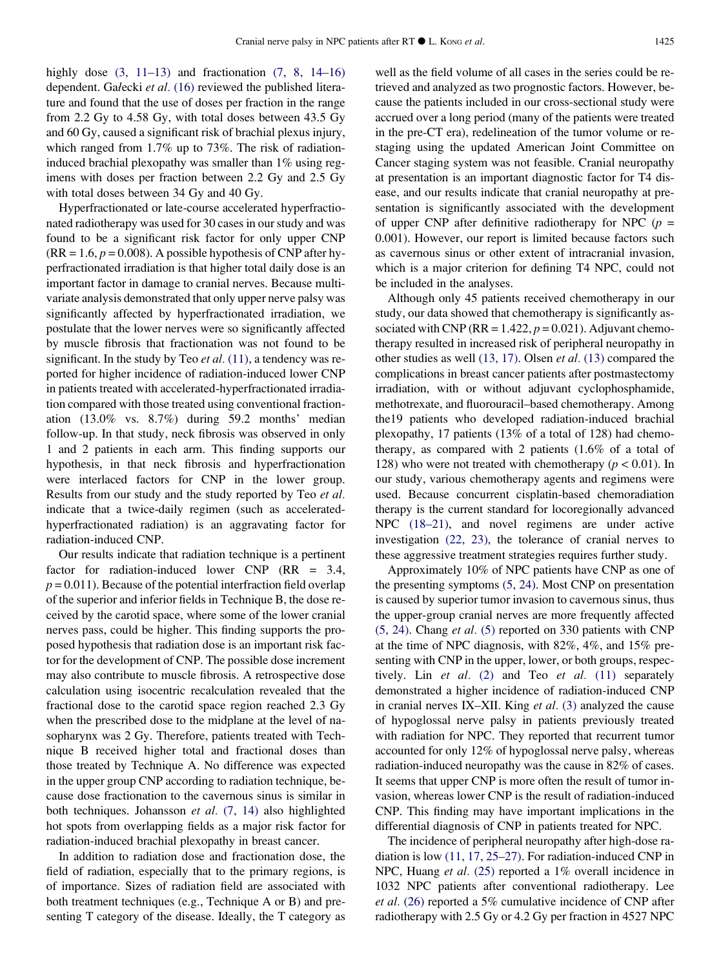highly dose  $(3, 11-13)$  and fractionation  $(7, 8, 14-16)$ dependent. Gałecki et al. [\(16\)](#page-5-0) reviewed the published literature and found that the use of doses per fraction in the range from 2.2 Gy to 4.58 Gy, with total doses between 43.5 Gy and 60 Gy, caused a significant risk of brachial plexus injury, which ranged from 1.7% up to 73%. The risk of radiationinduced brachial plexopathy was smaller than 1% using regimens with doses per fraction between 2.2 Gy and 2.5 Gy with total doses between 34 Gy and 40 Gy.

Hyperfractionated or late-course accelerated hyperfractionated radiotherapy was used for 30 cases in our study and was found to be a significant risk factor for only upper CNP  $(RR = 1.6, p = 0.008)$ . A possible hypothesis of CNP after hyperfractionated irradiation is that higher total daily dose is an important factor in damage to cranial nerves. Because multivariate analysis demonstrated that only upper nerve palsy was significantly affected by hyperfractionated irradiation, we postulate that the lower nerves were so significantly affected by muscle fibrosis that fractionation was not found to be significant. In the study by Teo et al.  $(11)$ , a tendency was reported for higher incidence of radiation-induced lower CNP in patients treated with accelerated-hyperfractionated irradiation compared with those treated using conventional fractionation (13.0% vs. 8.7%) during 59.2 months' median follow-up. In that study, neck fibrosis was observed in only 1 and 2 patients in each arm. This finding supports our hypothesis, in that neck fibrosis and hyperfractionation were interlaced factors for CNP in the lower group. Results from our study and the study reported by Teo et al. indicate that a twice-daily regimen (such as acceleratedhyperfractionated radiation) is an aggravating factor for radiation-induced CNP.

Our results indicate that radiation technique is a pertinent factor for radiation-induced lower CNP (RR = 3.4,  $p = 0.011$ ). Because of the potential interfraction field overlap of the superior and inferior fields in Technique B, the dose received by the carotid space, where some of the lower cranial nerves pass, could be higher. This finding supports the proposed hypothesis that radiation dose is an important risk factor for the development of CNP. The possible dose increment may also contribute to muscle fibrosis. A retrospective dose calculation using isocentric recalculation revealed that the fractional dose to the carotid space region reached 2.3 Gy when the prescribed dose to the midplane at the level of nasopharynx was 2 Gy. Therefore, patients treated with Technique B received higher total and fractional doses than those treated by Technique A. No difference was expected in the upper group CNP according to radiation technique, because dose fractionation to the cavernous sinus is similar in both techniques. Johansson et al. [\(7, 14\)](#page-5-0) also highlighted hot spots from overlapping fields as a major risk factor for radiation-induced brachial plexopathy in breast cancer.

In addition to radiation dose and fractionation dose, the field of radiation, especially that to the primary regions, is of importance. Sizes of radiation field are associated with both treatment techniques (e.g., Technique A or B) and presenting T category of the disease. Ideally, the T category as well as the field volume of all cases in the series could be retrieved and analyzed as two prognostic factors. However, because the patients included in our cross-sectional study were accrued over a long period (many of the patients were treated in the pre-CT era), redelineation of the tumor volume or restaging using the updated American Joint Committee on Cancer staging system was not feasible. Cranial neuropathy at presentation is an important diagnostic factor for T4 disease, and our results indicate that cranial neuropathy at presentation is significantly associated with the development of upper CNP after definitive radiotherapy for NPC ( $p =$ 0.001). However, our report is limited because factors such as cavernous sinus or other extent of intracranial invasion, which is a major criterion for defining T4 NPC, could not be included in the analyses.

Although only 45 patients received chemotherapy in our study, our data showed that chemotherapy is significantly associated with CNP ( $RR = 1.422$ ,  $p = 0.021$ ). Adjuvant chemotherapy resulted in increased risk of peripheral neuropathy in other studies as well [\(13, 17\)](#page-5-0). Olsen et al. [\(13\)](#page-5-0) compared the complications in breast cancer patients after postmastectomy irradiation, with or without adjuvant cyclophosphamide, methotrexate, and fluorouracil–based chemotherapy. Among the19 patients who developed radiation-induced brachial plexopathy, 17 patients (13% of a total of 128) had chemotherapy, as compared with 2 patients (1.6% of a total of 128) who were not treated with chemotherapy ( $p < 0.01$ ). In our study, various chemotherapy agents and regimens were used. Because concurrent cisplatin-based chemoradiation therapy is the current standard for locoregionally advanced NPC  $(18-21)$ , and novel regimens are under active investigation [\(22,](#page-6-0) 23), the tolerance of cranial nerves to these aggressive treatment strategies requires further study.

Approximately 10% of NPC patients have CNP as one of the presenting symptoms [\(5, 24\)](#page-5-0). Most CNP on presentation is caused by superior tumor invasion to cavernous sinus, thus the upper-group cranial nerves are more frequently affected [\(5, 24\).](#page-5-0) Chang et al. [\(5\)](#page-5-0) reported on 330 patients with CNP at the time of NPC diagnosis, with 82%, 4%, and 15% presenting with CNP in the upper, lower, or both groups, respectively. Lin  $et$  al. [\(2\)](#page-5-0) and Teo  $et$  al. [\(11\)](#page-5-0) separately demonstrated a higher incidence of radiation-induced CNP in cranial nerves IX–XII. King et al. [\(3\)](#page-5-0) analyzed the cause of hypoglossal nerve palsy in patients previously treated with radiation for NPC. They reported that recurrent tumor accounted for only 12% of hypoglossal nerve palsy, whereas radiation-induced neuropathy was the cause in 82% of cases. It seems that upper CNP is more often the result of tumor invasion, whereas lower CNP is the result of radiation-induced CNP. This finding may have important implications in the differential diagnosis of CNP in patients treated for NPC.

The incidence of peripheral neuropathy after high-dose radiation is low [\(11, 17, 25–27\).](#page-5-0) For radiation-induced CNP in NPC, Huang et al. [\(25\)](#page-6-0) reported a 1% overall incidence in 1032 NPC patients after conventional radiotherapy. Lee et al. [\(26\)](#page-6-0) reported a 5% cumulative incidence of CNP after radiotherapy with 2.5 Gy or 4.2 Gy per fraction in 4527 NPC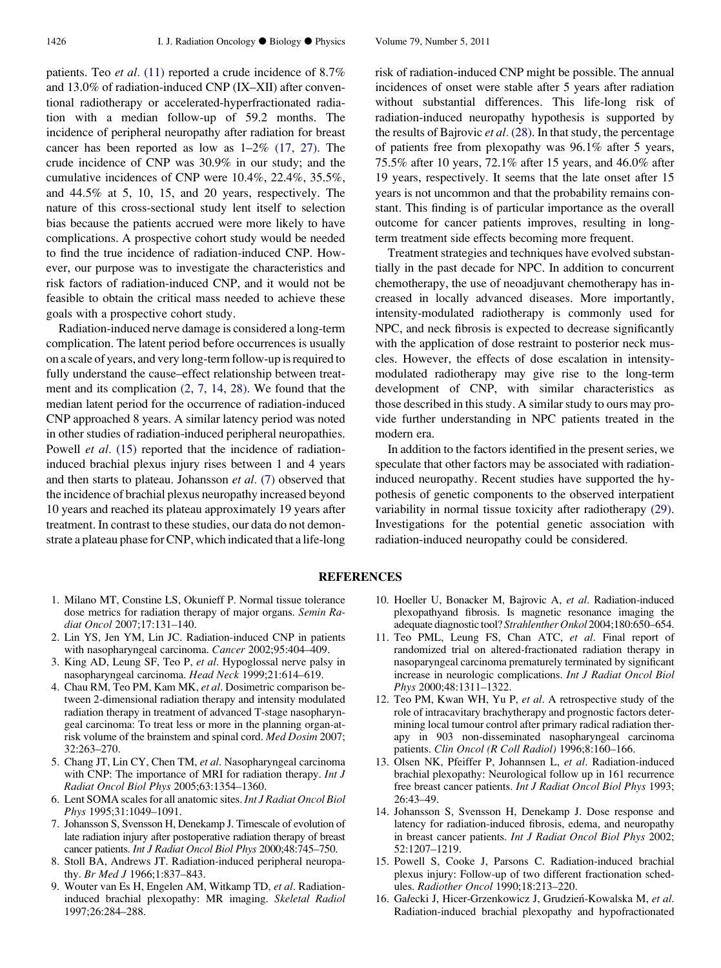<span id="page-5-0"></span>patients. Teo et al. (11) reported a crude incidence of 8.7% and 13.0% of radiation-induced CNP (IX–XII) after conventional radiotherapy or accelerated-hyperfractionated radiation with a median follow-up of 59.2 months. The incidence of peripheral neuropathy after radiation for breast cancer has been reported as low as 1–2% [\(17, 27\)](#page-6-0). The crude incidence of CNP was 30.9% in our study; and the cumulative incidences of CNP were 10.4%, 22.4%, 35.5%, and 44.5% at 5, 10, 15, and 20 years, respectively. The nature of this cross-sectional study lent itself to selection bias because the patients accrued were more likely to have complications. A prospective cohort study would be needed to find the true incidence of radiation-induced CNP. However, our purpose was to investigate the characteristics and risk factors of radiation-induced CNP, and it would not be feasible to obtain the critical mass needed to achieve these goals with a prospective cohort study.

Radiation-induced nerve damage is considered a long-term complication. The latent period before occurrences is usually on a scale of years, and very long-term follow-up is required to fully understand the cause–effect relationship between treatment and its complication (2, 7, 14, 28). We found that the median latent period for the occurrence of radiation-induced CNP approached 8 years. A similar latency period was noted in other studies of radiation-induced peripheral neuropathies. Powell et al. (15) reported that the incidence of radiationinduced brachial plexus injury rises between 1 and 4 years and then starts to plateau. Johansson et al. (7) observed that the incidence of brachial plexus neuropathy increased beyond 10 years and reached its plateau approximately 19 years after treatment. In contrast to these studies, our data do not demonstrate a plateau phase for CNP, which indicated that a life-long

risk of radiation-induced CNP might be possible. The annual incidences of onset were stable after 5 years after radiation without substantial differences. This life-long risk of radiation-induced neuropathy hypothesis is supported by the results of Bajrovic et al. [\(28\)](#page-6-0). In that study, the percentage of patients free from plexopathy was 96.1% after 5 years, 75.5% after 10 years, 72.1% after 15 years, and 46.0% after 19 years, respectively. It seems that the late onset after 15 years is not uncommon and that the probability remains constant. This finding is of particular importance as the overall outcome for cancer patients improves, resulting in longterm treatment side effects becoming more frequent.

Treatment strategies and techniques have evolved substantially in the past decade for NPC. In addition to concurrent chemotherapy, the use of neoadjuvant chemotherapy has increased in locally advanced diseases. More importantly, intensity-modulated radiotherapy is commonly used for NPC, and neck fibrosis is expected to decrease significantly with the application of dose restraint to posterior neck muscles. However, the effects of dose escalation in intensitymodulated radiotherapy may give rise to the long-term development of CNP, with similar characteristics as those described in this study. A similar study to ours may provide further understanding in NPC patients treated in the modern era.

In addition to the factors identified in the present series, we speculate that other factors may be associated with radiationinduced neuropathy. Recent studies have supported the hypothesis of genetic components to the observed interpatient variability in normal tissue toxicity after radiotherapy [\(29\).](#page-6-0) Investigations for the potential genetic association with radiation-induced neuropathy could be considered.

### **REFERENCES**

- 1. Milano MT, Constine LS, Okunieff P. Normal tissue tolerance dose metrics for radiation therapy of major organs. Semin Radiat Oncol 2007;17:131–140.
- 2. Lin YS, Jen YM, Lin JC. Radiation-induced CNP in patients with nasopharyngeal carcinoma. Cancer 2002;95:404–409.
- 3. King AD, Leung SF, Teo P, et al. Hypoglossal nerve palsy in nasopharyngeal carcinoma. Head Neck 1999;21:614–619.
- 4. Chau RM, Teo PM, Kam MK, et al. Dosimetric comparison between 2-dimensional radiation therapy and intensity modulated radiation therapy in treatment of advanced T-stage nasopharyngeal carcinoma: To treat less or more in the planning organ-atrisk volume of the brainstem and spinal cord. Med Dosim 2007; 32:263–270.
- 5. Chang JT, Lin CY, Chen TM, et al. Nasopharyngeal carcinoma with CNP: The importance of MRI for radiation therapy. *Int J* Radiat Oncol Biol Phys 2005;63:1354–1360.
- 6. Lent SOMA scales for all anatomic sites. Int J Radiat Oncol Biol Phys 1995;31:1049–1091.
- 7. Johansson S, Svensson H, Denekamp J. Timescale of evolution of late radiation injury after postoperative radiation therapy of breast cancer patients. Int J Radiat Oncol Biol Phys 2000;48:745–750.
- 8. Stoll BA, Andrews JT. Radiation-induced peripheral neuropathy. Br Med J 1966;1:837–843.
- 9. Wouter van Es H, Engelen AM, Witkamp TD, et al. Radiationinduced brachial plexopathy: MR imaging. Skeletal Radiol 1997;26:284–288.
- 10. Hoeller U, Bonacker M, Bajrovic A, et al. Radiation-induced plexopathyand fibrosis. Is magnetic resonance imaging the adequate diagnostic tool? Strahlenther Onkol 2004;180:650–654.
- 11. Teo PML, Leung FS, Chan ATC, et al. Final report of randomized trial on altered-fractionated radiation therapy in nasoparyngeal carcinoma prematurely terminated by significant increase in neurologic complications. Int J Radiat Oncol Biol Phys 2000;48:1311–1322.
- 12. Teo PM, Kwan WH, Yu P, et al. A retrospective study of the role of intracavitary brachytherapy and prognostic factors determining local tumour control after primary radical radiation therapy in 903 non-disseminated nasopharyngeal carcinoma patients. Clin Oncol (R Coll Radiol) 1996;8:160-166.
- 13. Olsen NK, Pfeiffer P, Johannsen L, et al. Radiation-induced brachial plexopathy: Neurological follow up in 161 recurrence free breast cancer patients. Int J Radiat Oncol Biol Phys 1993; 26:43–49.
- 14. Johansson S, Svensson H, Denekamp J. Dose response and latency for radiation-induced fibrosis, edema, and neuropathy in breast cancer patients. Int J Radiat Oncol Biol Phys 2002; 52:1207–1219.
- 15. Powell S, Cooke J, Parsons C. Radiation-induced brachial plexus injury: Follow-up of two different fractionation schedules. Radiother Oncol 1990;18:213–220.
- 16. Gałecki J, Hicer-Grzenkowicz J, Grudzień-Kowalska M, et al. Radiation-induced brachial plexopathy and hypofractionated